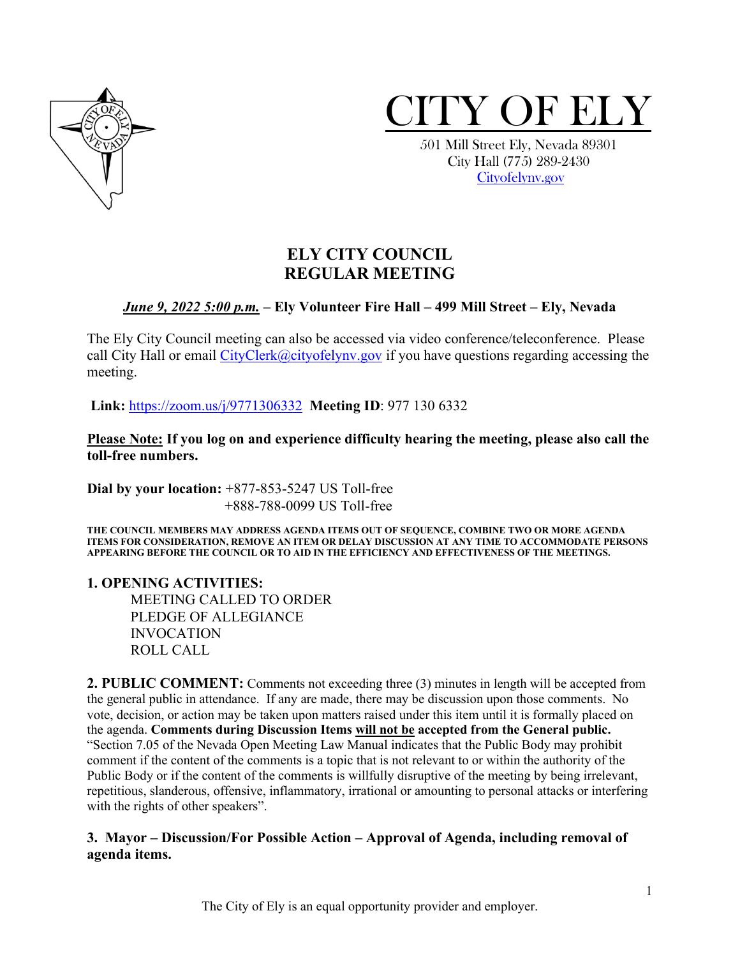



 City Hall (775) 289-2430 [Cityofelynv.gov](mailto:Cityofelynv.gov)

# **ELY CITY COUNCIL REGULAR MEETING**

# *June 9, 2022 5:00 p.m.* **– Ely Volunteer Fire Hall – 499 Mill Street – Ely, Nevada**

The Ely City Council meeting can also be accessed via video conference/teleconference. Please call City Hall or email  $CityClerk@cityofelynv.gov$  if you have questions regarding accessing the meeting.

**Link:** [https://zoom.us/j/9771306332](https://zoom.us/j/9771306332?status=success) **Meeting ID**: 977 130 6332

**Please Note: If you log on and experience difficulty hearing the meeting, please also call the toll-free numbers.** 

**Dial by your location:** +877-853-5247 US Toll-free +888-788-0099 US Toll-free

**THE COUNCIL MEMBERS MAY ADDRESS AGENDA ITEMS OUT OF SEQUENCE, COMBINE TWO OR MORE AGENDA ITEMS FOR CONSIDERATION, REMOVE AN ITEM OR DELAY DISCUSSION AT ANY TIME TO ACCOMMODATE PERSONS APPEARING BEFORE THE COUNCIL OR TO AID IN THE EFFICIENCY AND EFFECTIVENESS OF THE MEETINGS.**

**1. OPENING ACTIVITIES:** 

MEETING CALLED TO ORDER PLEDGE OF ALLEGIANCE INVOCATION ROLL CALL

**2. PUBLIC COMMENT:** Comments not exceeding three (3) minutes in length will be accepted from the general public in attendance. If any are made, there may be discussion upon those comments. No vote, decision, or action may be taken upon matters raised under this item until it is formally placed on the agenda. **Comments during Discussion Items will not be accepted from the General public.**  "Section 7.05 of the Nevada Open Meeting Law Manual indicates that the Public Body may prohibit comment if the content of the comments is a topic that is not relevant to or within the authority of the Public Body or if the content of the comments is willfully disruptive of the meeting by being irrelevant, repetitious, slanderous, offensive, inflammatory, irrational or amounting to personal attacks or interfering with the rights of other speakers".

### **3. Mayor – Discussion/For Possible Action – Approval of Agenda, including removal of agenda items.**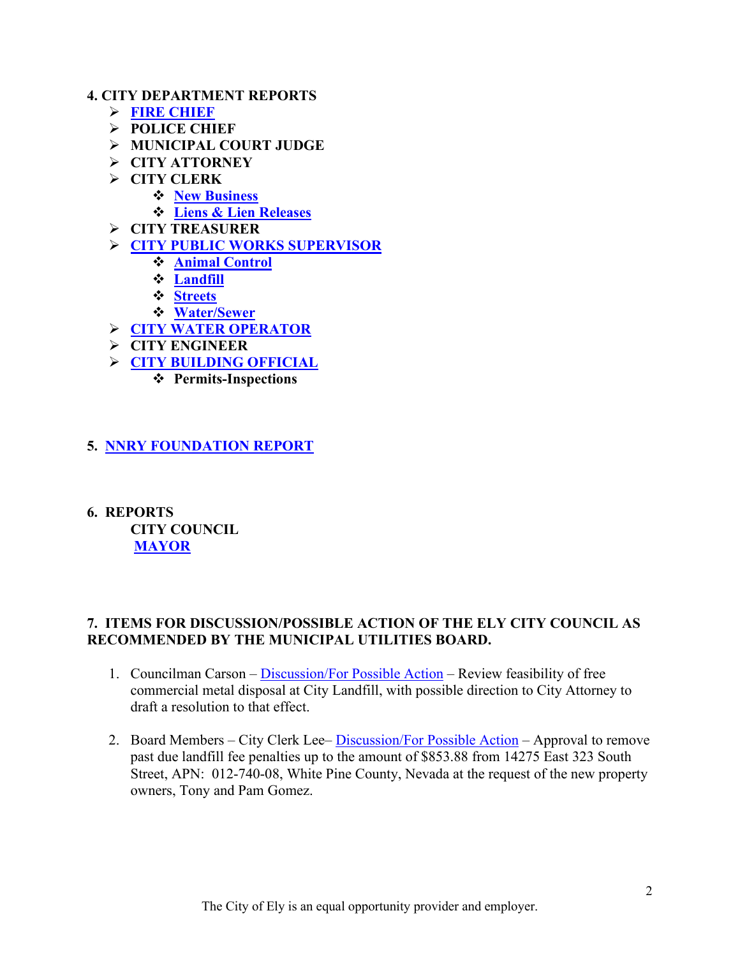#### **4. CITY DEPARTMENT REPORTS**

- **[FIRE CHIEF](https://www.cityofelynv.gov/pdf/CityCouncil2022/cc6-9-22/FireEMSMay2022.pdf)**
- **POLICE CHIEF**
- **MUNICIPAL COURT JUDGE**
- **CITY ATTORNEY**
- **CITY CLERK**
	- **[New Business](https://www.cityofelynv.gov/pdf/CityCouncil2022/cc6-9-22/NewBusinessMay2022.pdf)**
		- **Liens [& Lien Releases](https://www.cityofelynv.gov/pdf/CityCouncil2022/cc6-9-22/Liens-LienReleasesMay2022.pdf)**
- **CITY TREASURER**
- **[CITY PUBLIC WORKS SUPERVISOR](https://www.cityofelynv.gov/pdf/UtilityBoard2022/6-9-22/PublicWorksReportMay2022.pdf)** 
	- **[Animal Control](https://www.cityofelynv.gov/pdf/CityCouncil2022/cc6-9-22/ACMay2022.pdf)**
	- **[Landfill](https://www.cityofelynv.gov/pdf/UtilityBoard2022/6-9-22/LandfillMonthlyreport6-2-22.pdf)**
	- **[Streets](https://www.cityofelynv.gov/pdf/CityCouncil2022/cc6-9-22/StreetsmonthlyreportMay22.pdf)**
	- **[Water/Sewer](https://www.cityofelynv.gov/pdf/UtilityBoard2022/6-9-22/WaterSewerReportMay2022.pdf)**
- **[CITY WATER OPERATOR](https://www.cityofelynv.gov/pdf/UtilityBoard2022/6-9-22/WaterOperatorMay2022.pdf)**
- **CITY ENGINEER**
- **[CITY BUILDING OFFICIAL](https://www.cityofelynv.gov/pdf/CityCouncil2022/cc6-9-22/BldgDeptMay2022.pdf)**
	- **Permits-Inspections**
- **5. [NNRY FOUNDATION REPORT](https://www.cityofelynv.gov/pdf/CityCouncil2022/cc6-9-22/NNRYMay2022.pdf)**
- **6. REPORTS CITY COUNCIL [MAYOR](https://www.cityofelynv.gov/pdf/CityCouncil2022/cc6-9-22/MayorRpt06-09-2022.pdf)**

## **7. ITEMS FOR DISCUSSION/POSSIBLE ACTION OF THE ELY CITY COUNCIL AS RECOMMENDED BY THE MUNICIPAL UTILITIES BOARD.**

- 1. Councilman Carson – [Discussion/For Possible Action](https://www.cityofelynv.gov/pdf/CityCouncil2022/cc6-9-22/memooncommercialmetaldisposalfees.pdf)  Review feasibility of free commercial metal disposal at City Landfill, with possible direction to City Attorney to draft a resolution to that effect.
- 2. Board Members City Clerk Lee– [Discussion/For Possible Action](https://www.cityofelynv.gov/pdf/UtilityBoard2022/6-9-22/GomezpenaltywaiverrqstAPN01274008.pdf)  Approval to remove past due landfill fee penalties up to the amount of \$853.88 from 14275 East 323 South Street, APN: 012-740-08, White Pine County, Nevada at the request of the new property owners, Tony and Pam Gomez.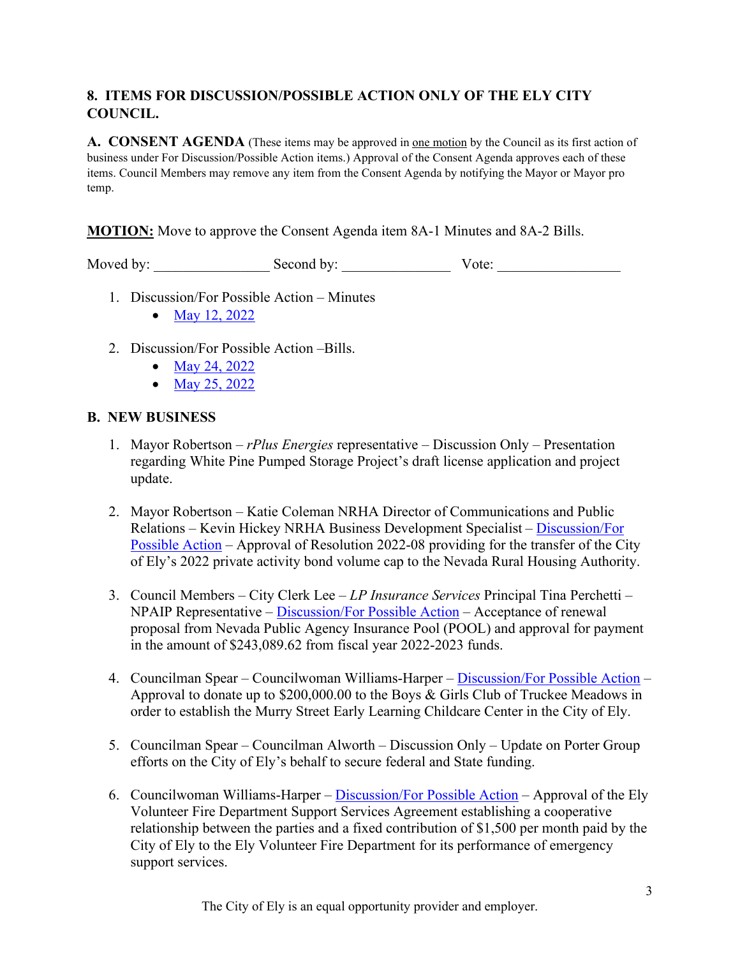# **8. ITEMS FOR DISCUSSION/POSSIBLE ACTION ONLY OF THE ELY CITY COUNCIL.**

**A. CONSENT AGENDA** (These items may be approved in <u>one motion</u> by the Council as its first action of business under For Discussion/Possible Action items.) Approval of the Consent Agenda approves each of these items. Council Members may remove any item from the Consent Agenda by notifying the Mayor or Mayor pro temp.

**MOTION:** Move to approve the Consent Agenda item 8A-1 Minutes and 8A-2 Bills.

Moved by: \_\_\_\_\_\_\_\_\_\_\_\_\_\_\_\_ Second by: \_\_\_\_\_\_\_\_\_\_\_\_\_\_\_ Vote: \_\_\_\_\_\_\_\_\_\_\_\_\_\_\_\_\_

- 1. Discussion/For Possible Action Minutes
	- [May 12, 2022](https://www.cityofelynv.gov/pdf/CityCouncil2022/cc6-9-22/cc5-12-22meetingminutes.pdf)
- 2. Discussion/For Possible Action –Bills.
	- [May 24, 2022](https://www.cityofelynv.gov/pdf/CityCouncil2022/cc6-9-22/cc5-24-22bills.pdf)
	- [May 25, 2022](https://www.cityofelynv.gov/pdf/CityCouncil2022/cc6-9-22/cc5-25-22bills.pdf)

### **B. NEW BUSINESS**

- 1. Mayor Robertson *rPlus Energies* representative Discussion Only Presentation regarding White Pine Pumped Storage Project's draft license application and project update.
- 2. Mayor Robertson Katie Coleman NRHA Director of Communications and Public Relations – Kevin Hickey NRHA Business Development Specialist – [Discussion/For](https://www.cityofelynv.gov/pdf/CityCouncil2022/cc6-9-22/Res.2022-08activitybondcap.pdf)  [Possible Action](https://www.cityofelynv.gov/pdf/CityCouncil2022/cc6-9-22/Res.2022-08activitybondcap.pdf) – Approval of Resolution 2022-08 providing for the transfer of the City of Ely's 2022 private activity bond volume cap to the Nevada Rural Housing Authority.
- 3. Council Members City Clerk Lee *LP Insurance Services* Principal Tina Perchetti NPAIP Representative – [Discussion/For Possible Action](https://www.cityofelynv.gov/pdf/CityCouncil2022/cc6-9-22/NPAIPFY23Proposal.pdf) – Acceptance of renewal proposal from Nevada Public Agency Insurance Pool (POOL) and approval for payment in the amount of \$243,089.62 from fiscal year 2022-2023 funds.
- 4. Councilman Spear Councilwoman Williams-Harper – [Discussion/For Possible Action](https://www.cityofelynv.gov/pdf/CityCouncil2022/cc5-26-22/BGclubRequesttotheCityofElyforMurryStreetProject.pdf)  Approval to donate up to \$200,000.00 to the Boys & Girls Club of Truckee Meadows in order to establish the Murry Street Early Learning Childcare Center in the City of Ely.
- 5. Councilman Spear Councilman Alworth Discussion Only Update on Porter Group efforts on the City of Ely's behalf to secure federal and State funding.
- 6. Councilwoman Williams-Harper – [Discussion/For Possible Action](https://www.cityofelynv.gov/pdf/CityCouncil2022/cc6-9-22/EVFDSupportServicesAgreementMay2022FINAL.pdf)  Approval of the Ely Volunteer Fire Department Support Services Agreement establishing a cooperative relationship between the parties and a fixed contribution of \$1,500 per month paid by the City of Ely to the Ely Volunteer Fire Department for its performance of emergency support services.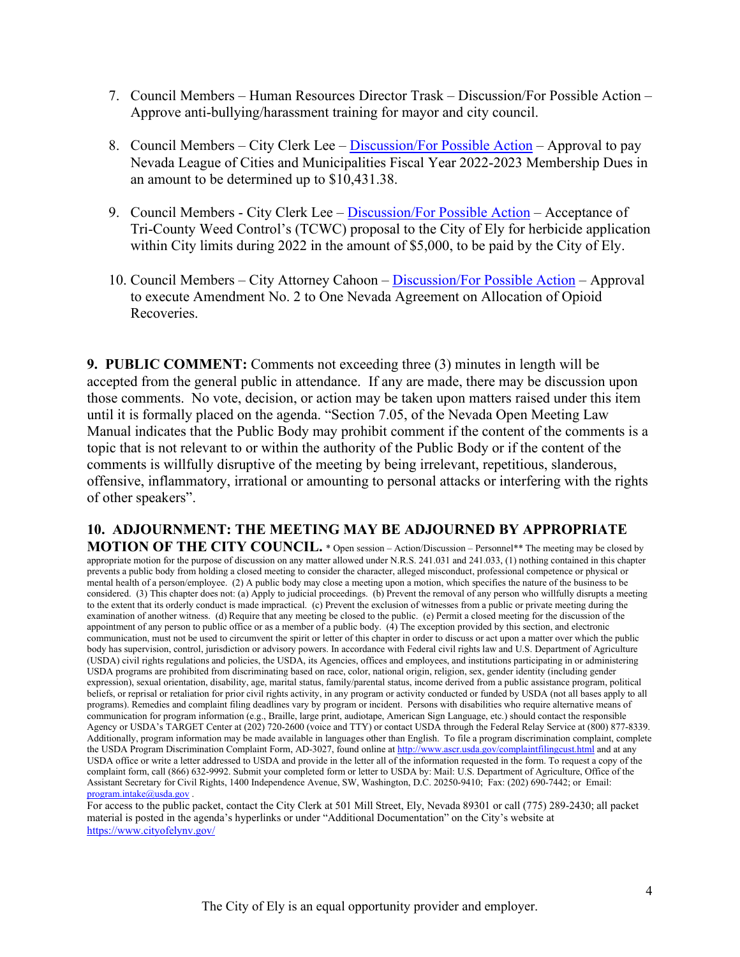- 7. Council Members Human Resources Director Trask Discussion/For Possible Action Approve anti-bullying/harassment training for mayor and city council.
- 8. Council Members City Clerk Lee – [Discussion/For Possible Action](https://www.cityofelynv.gov/pdf/CityCouncil2022/cc6-9-22/NLCMFY23Dues.pdf)  Approval to pay Nevada League of Cities and Municipalities Fiscal Year 2022-2023 Membership Dues in an amount to be determined up to \$10,431.38.
- 9. Council Members City Clerk Lee – [Discussion/For Possible Action](https://www.cityofelynv.gov/pdf/CityCouncil2022/cc6-9-22/5.17.22CityofElyWeedControl.pdf)  Acceptance of Tri-County Weed Control's (TCWC) proposal to the City of Ely for herbicide application within City limits during 2022 in the amount of \$5,000, to be paid by the City of Ely.
- 10. Council Members City Attorney Cahoon – [Discussion/For Possible Action](https://www.cityofelynv.gov/pdf/CityCouncil2022/cc6-9-22/Amendment2toOneNevadaAgreement.pdf)  Approval to execute Amendment No. 2 to One Nevada Agreement on Allocation of Opioid Recoveries.

**9. PUBLIC COMMENT:** Comments not exceeding three (3) minutes in length will be accepted from the general public in attendance. If any are made, there may be discussion upon those comments. No vote, decision, or action may be taken upon matters raised under this item until it is formally placed on the agenda. "Section 7.05, of the Nevada Open Meeting Law Manual indicates that the Public Body may prohibit comment if the content of the comments is a topic that is not relevant to or within the authority of the Public Body or if the content of the comments is willfully disruptive of the meeting by being irrelevant, repetitious, slanderous, offensive, inflammatory, irrational or amounting to personal attacks or interfering with the rights of other speakers".

**10. ADJOURNMENT: THE MEETING MAY BE ADJOURNED BY APPROPRIATE MOTION OF THE CITY COUNCIL.** \* Open session – Action/Discussion – Personnel\*\* The meeting may be closed by appropriate motion for the purpose of discussion on any matter allowed under N.R.S. 241.031 and 241.033, (1) nothing contained in this chapter prevents a public body from holding a closed meeting to consider the character, alleged misconduct, professional competence or physical or mental health of a person/employee. (2) A public body may close a meeting upon a motion, which specifies the nature of the business to be considered. (3) This chapter does not: (a) Apply to judicial proceedings. (b) Prevent the removal of any person who willfully disrupts a meeting to the extent that its orderly conduct is made impractical. (c) Prevent the exclusion of witnesses from a public or private meeting during the examination of another witness. (d) Require that any meeting be closed to the public. (e) Permit a closed meeting for the discussion of the appointment of any person to public office or as a member of a public body. (4) The exception provided by this section, and electronic communication, must not be used to circumvent the spirit or letter of this chapter in order to discuss or act upon a matter over which the public body has supervision, control, jurisdiction or advisory powers. In accordance with Federal civil rights law and U.S. Department of Agriculture (USDA) civil rights regulations and policies, the USDA, its Agencies, offices and employees, and institutions participating in or administering USDA programs are prohibited from discriminating based on race, color, national origin, religion, sex, gender identity (including gender expression), sexual orientation, disability, age, marital status, family/parental status, income derived from a public assistance program, political beliefs, or reprisal or retaliation for prior civil rights activity, in any program or activity conducted or funded by USDA (not all bases apply to all programs). Remedies and complaint filing deadlines vary by program or incident. Persons with disabilities who require alternative means of communication for program information (e.g., Braille, large print, audiotape, American Sign Language, etc.) should contact the responsible Agency or USDA's TARGET Center at (202) 720-2600 (voice and TTY) or contact USDA through the Federal Relay Service at (800) 877-8339. Additionally, program information may be made available in languages other than English. To file a program discrimination complaint, complete the USDA Program Discrimination Complaint Form, AD-3027, found online a[t http://www.ascr.usda.gov/complaintfilingcust.html](http://www.ascr.usda.gov/complaintfilingcust.html) and at any USDA office or write a letter addressed to USDA and provide in the letter all of the information requested in the form. To request a copy of the complaint form, call (866) 632-9992. Submit your completed form or letter to USDA by: Mail: U.S. Department of Agriculture, Office of the Assistant Secretary for Civil Rights, 1400 Independence Avenue, SW, Washington, D.C. 20250-9410; Fax: (202) 690-7442; or Email: program.intake@usda.gov.

For access to the public packet, contact the City Clerk at 501 Mill Street, Ely, Nevada 89301 or call (775) 289-2430; all packet material is posted in the agenda's hyperlinks or under "Additional Documentation" on the City's website at <https://www.cityofelynv.gov/>